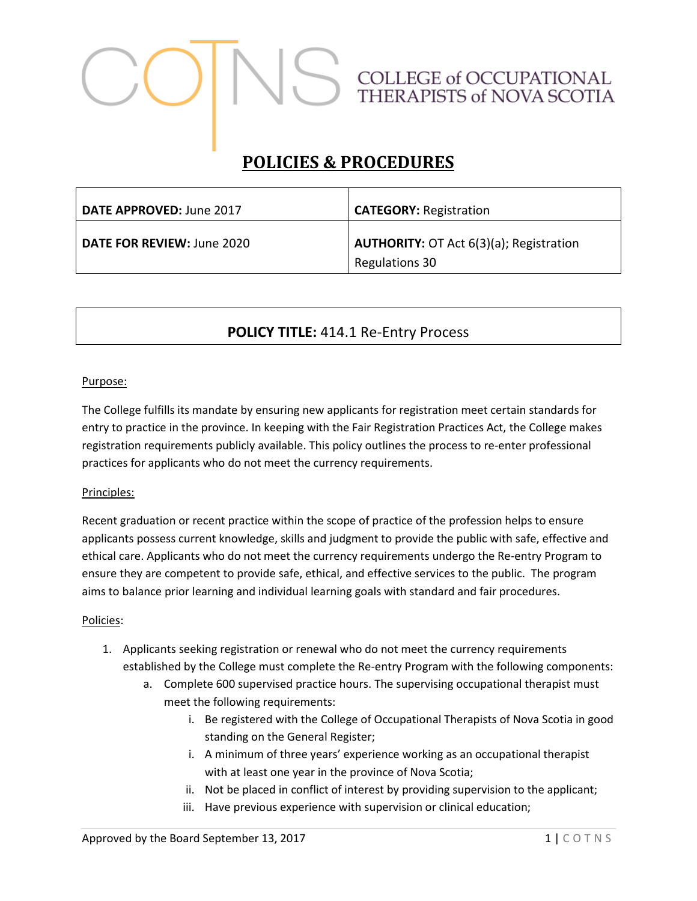# COLLEGE of OCCUPATIONAL<br>THERAPISTS of NOVA SCOTIA

# **POLICIES & PROCEDURES**

| DATE APPROVED: June 2017   | <b>CATEGORY: Registration</b>                                    |
|----------------------------|------------------------------------------------------------------|
| DATE FOR REVIEW: June 2020 | <b>AUTHORITY: OT Act 6(3)(a); Registration</b><br>Regulations 30 |

## **POLICY TITLE:** 414.1 Re-Entry Process

### Purpose:

The College fulfills its mandate by ensuring new applicants for registration meet certain standards for entry to practice in the province. In keeping with the Fair Registration Practices Act, the College makes registration requirements publicly available. This policy outlines the process to re-enter professional practices for applicants who do not meet the currency requirements.

### Principles:

Recent graduation or recent practice within the scope of practice of the profession helps to ensure applicants possess current knowledge, skills and judgment to provide the public with safe, effective and ethical care. Applicants who do not meet the currency requirements undergo the Re-entry Program to ensure they are competent to provide safe, ethical, and effective services to the public. The program aims to balance prior learning and individual learning goals with standard and fair procedures.

### Policies:

- 1. Applicants seeking registration or renewal who do not meet the currency requirements established by the College must complete the Re-entry Program with the following components:
	- a. Complete 600 supervised practice hours. The supervising occupational therapist must meet the following requirements:
		- i. Be registered with the College of Occupational Therapists of Nova Scotia in good standing on the General Register;
		- i. A minimum of three years' experience working as an occupational therapist with at least one year in the province of Nova Scotia;
		- ii. Not be placed in conflict of interest by providing supervision to the applicant;
		- iii. Have previous experience with supervision or clinical education;